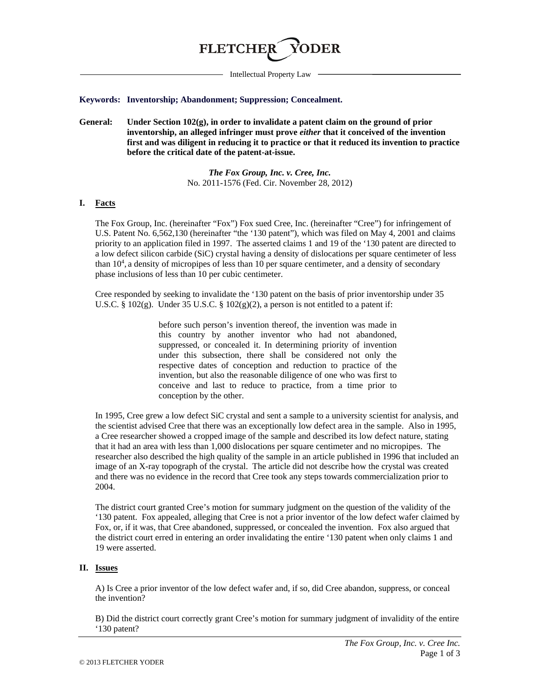

Intellectual Property Law

#### **Keywords: Inventorship; Abandonment; Suppression; Concealment.**

**General: Under Section 102(g), in order to invalidate a patent claim on the ground of prior inventorship, an alleged infringer must prove** *either* **that it conceived of the invention first and was diligent in reducing it to practice or that it reduced its invention to practice before the critical date of the patent-at-issue.**

> *The Fox Group, Inc. v. Cree, Inc.* No. 2011-1576 (Fed. Cir. November 28, 2012)

### **I. Facts**

The Fox Group, Inc. (hereinafter "Fox") Fox sued Cree, Inc. (hereinafter "Cree") for infringement of U.S. Patent No. 6,562,130 (hereinafter "the '130 patent"), which was filed on May 4, 2001 and claims priority to an application filed in 1997. The asserted claims 1 and 19 of the '130 patent are directed to a low defect silicon carbide (SiC) crystal having a density of dislocations per square centimeter of less than 10<sup>4</sup>, a density of micropipes of less than 10 per square centimeter, and a density of secondary phase inclusions of less than 10 per cubic centimeter.

Cree responded by seeking to invalidate the '130 patent on the basis of prior inventorship under 35 U.S.C. § 102(g). Under 35 U.S.C. § 102(g)(2), a person is not entitled to a patent if:

> before such person's invention thereof, the invention was made in this country by another inventor who had not abandoned, suppressed, or concealed it. In determining priority of invention under this subsection, there shall be considered not only the respective dates of conception and reduction to practice of the invention, but also the reasonable diligence of one who was first to conceive and last to reduce to practice, from a time prior to conception by the other.

In 1995, Cree grew a low defect SiC crystal and sent a sample to a university scientist for analysis, and the scientist advised Cree that there was an exceptionally low defect area in the sample. Also in 1995, a Cree researcher showed a cropped image of the sample and described its low defect nature, stating that it had an area with less than 1,000 dislocations per square centimeter and no micropipes. The researcher also described the high quality of the sample in an article published in 1996 that included an image of an X-ray topograph of the crystal. The article did not describe how the crystal was created and there was no evidence in the record that Cree took any steps towards commercialization prior to 2004.

The district court granted Cree's motion for summary judgment on the question of the validity of the '130 patent. Fox appealed, alleging that Cree is not a prior inventor of the low defect wafer claimed by Fox, or, if it was, that Cree abandoned, suppressed, or concealed the invention. Fox also argued that the district court erred in entering an order invalidating the entire '130 patent when only claims 1 and 19 were asserted.

#### **II. Issues**

A) Is Cree a prior inventor of the low defect wafer and, if so, did Cree abandon, suppress, or conceal the invention?

B) Did the district court correctly grant Cree's motion for summary judgment of invalidity of the entire '130 patent?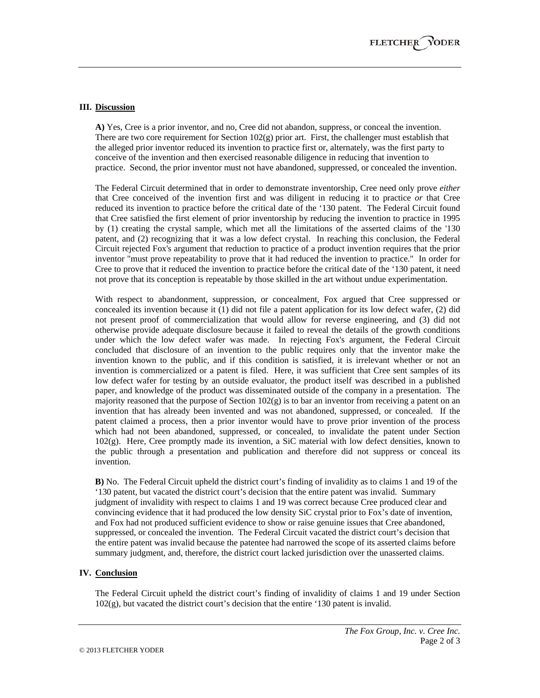# **III. Discussion**

**A)** Yes, Cree is a prior inventor, and no, Cree did not abandon, suppress, or conceal the invention. There are two core requirement for Section  $102(g)$  prior art. First, the challenger must establish that the alleged prior inventor reduced its invention to practice first or, alternately, was the first party to conceive of the invention and then exercised reasonable diligence in reducing that invention to practice. Second, the prior inventor must not have abandoned, suppressed, or concealed the invention.

The Federal Circuit determined that in order to demonstrate inventorship, Cree need only prove *either* that Cree conceived of the invention first and was diligent in reducing it to practice *or* that Cree reduced its invention to practice before the critical date of the '130 patent. The Federal Circuit found that Cree satisfied the first element of prior inventorship by reducing the invention to practice in 1995 by (1) creating the crystal sample, which met all the limitations of the asserted claims of the '130 patent, and (2) recognizing that it was a low defect crystal. In reaching this conclusion, the Federal Circuit rejected Fox's argument that reduction to practice of a product invention requires that the prior inventor "must prove repeatability to prove that it had reduced the invention to practice." In order for Cree to prove that it reduced the invention to practice before the critical date of the '130 patent, it need not prove that its conception is repeatable by those skilled in the art without undue experimentation.

With respect to abandonment, suppression, or concealment, Fox argued that Cree suppressed or concealed its invention because it (1) did not file a patent application for its low defect wafer, (2) did not present proof of commercialization that would allow for reverse engineering, and (3) did not otherwise provide adequate disclosure because it failed to reveal the details of the growth conditions under which the low defect wafer was made. In rejecting Fox's argument, the Federal Circuit concluded that disclosure of an invention to the public requires only that the inventor make the invention known to the public, and if this condition is satisfied, it is irrelevant whether or not an invention is commercialized or a patent is filed. Here, it was sufficient that Cree sent samples of its low defect wafer for testing by an outside evaluator, the product itself was described in a published paper, and knowledge of the product was disseminated outside of the company in a presentation. The majority reasoned that the purpose of Section  $102(g)$  is to bar an inventor from receiving a patent on an invention that has already been invented and was not abandoned, suppressed, or concealed. If the patent claimed a process, then a prior inventor would have to prove prior invention of the process which had not been abandoned, suppressed, or concealed, to invalidate the patent under Section 102(g). Here, Cree promptly made its invention, a SiC material with low defect densities, known to the public through a presentation and publication and therefore did not suppress or conceal its invention.

**B)** No. The Federal Circuit upheld the district court's finding of invalidity as to claims 1 and 19 of the '130 patent, but vacated the district court's decision that the entire patent was invalid. Summary judgment of invalidity with respect to claims 1 and 19 was correct because Cree produced clear and convincing evidence that it had produced the low density SiC crystal prior to Fox's date of invention, and Fox had not produced sufficient evidence to show or raise genuine issues that Cree abandoned, suppressed, or concealed the invention. The Federal Circuit vacated the district court's decision that the entire patent was invalid because the patentee had narrowed the scope of its asserted claims before summary judgment, and, therefore, the district court lacked jurisdiction over the unasserted claims.

### **IV. Conclusion**

The Federal Circuit upheld the district court's finding of invalidity of claims 1 and 19 under Section 102(g), but vacated the district court's decision that the entire '130 patent is invalid.